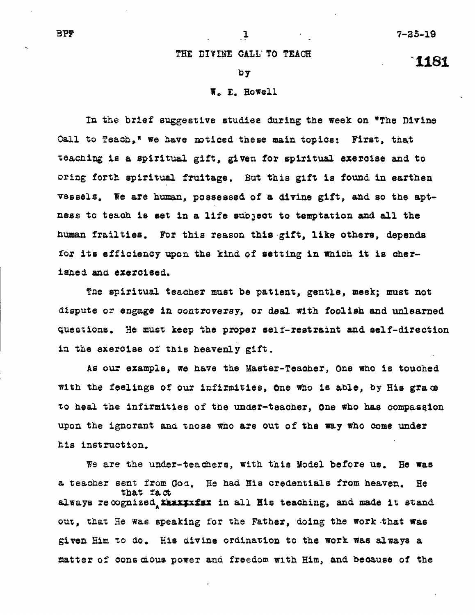**1161** 

## **THE DIVINE CALL' TO TEACH**

## **by**

## **T.** E. **Howell**

**In the brief suggestive studies during the week on "The Divine Call to Teach," we have noticed these main topics: First, that teaching is a spiritual gift, given for spiritual exercise and to**  oring **forth spiritual fruitage. But this gift is found in earthen vessels, We are human, possessed of a divine gift, and so the apt**ness to teach is set in a life subject to temptation and all the **human frailties. For this reason this gift, like others, depends for its efficiency upon the kind of setting in which it is cherished and exercised.** 

**The spiritual teacher must be patient, gentle, meek; must not dispute or** *engage* **in controversy, or deal with foolish and unlearned questions, He must keep the proper self-restraint and self-direction in the exercise of this heavenly gift.** 

**As our example, we have the Master-Teacher, One who is touched with the feelings of our infirmities, One who is able, by His gram to heal the infirmities of the under-teacher, One who has compaseion upon the ignorant and tnose who are out of the way who come under his instruction.** 

**We are the under-teachers, with this Model before us. He was a teacher sent from Goa. He had His credentials from heaven. He that fact**  always recognized **ikxxxxxx in all His teaching, and made it stand out, that He was speaking for the Father, doing the work-that was given Him to do, His divine ordination to the work was always a matter of conscious power and freedom with Him, and because of the**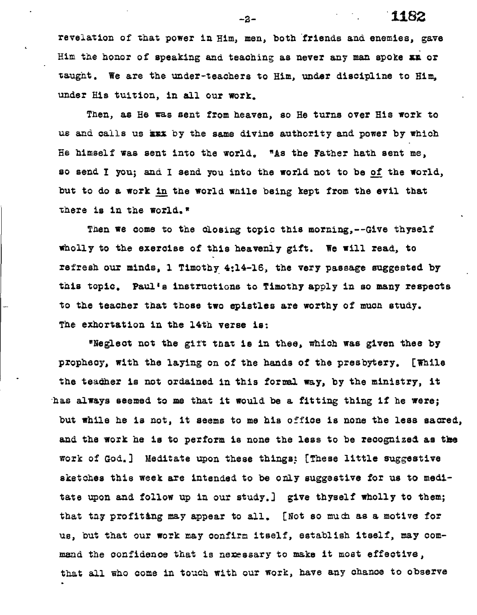**revelation of that power in Him, men, both friends and enemies, gave Him the honor of speaking and teaching as never any man spoke as or taught. We are the under-teachers to Him, under discipline to Him, under His tuition, in all our work.** 

**Then, as He was sent from heaven, so He turns over His work to us and calls us <b>kmI** by the same divine authority and power by which He himself was sent into the world. "As the Father hath sent me, **BO send I you; and I send you into the world not to be of the world, but to do a work in tae world while being kept from the evil that there is in the world.\*** 

**Then we come to the closing topic this morning,--Give thyself wholly to the exercise of this heavenly gift. We will read, to refresh our minds, 1 Timothy 4:14-16, the very passage suggested by this topic. Paul's instructions to Timothy apply in so many respects to the teacher that those two epistles are worthy of much study. The exhortation in the 14th verse is:** 

**\*Neglect not the girt that is in thee, which was given thee by**  prophecy, with the laying on of the hands of the presbytery. [While **the teacher is not ordained in this formal way, by the ministry, it**  has **always seemed to me that it would be a fitting thing if he were; but while he is not, it seems to me his office is none the less sacred,**  and the work he is to perform is none the less to be recognized as the **work of God.] Meditate upon these things [These little suggestive sketches this week are intended to be only suggestive for us to meditate upon and follow up in our study.] give thyself wholly to them; that tay profiting may appear to all. [Not so** much **as a motive for us, but that our work may confirm itself, establish itself, may command the confidence that is nexessary to make it most effective, that all who come in touch with our work, have any chance to observe** 

**-2- 1182**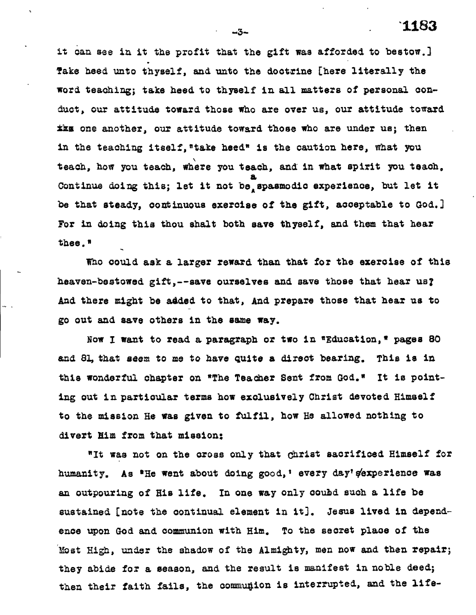**it can see in it the profit that the gift was afforded to bestow.] Take heed unto thyself, and unto the doctrine [here literally the word teaching; take heed to thyself in all matters of personal conduct, our attitude toward those who are over us, our attitude toward Iks one another, our attitude toward those who are under us; then**  in the teaching itself, "take heed" is the caution here, what you **teach, how you teach, where you teach, and in what spirit you teach.**  *a*  Continue doing this; let it not be<sub>A</sub> spasmodic experience, but let it

*be* **that steady, continuous exercise of the gift, acceptable to God.] For in doing this thou shalt both save thyself, and them that** *hear*  **thee.\*** 

**Who could ask a larger reward than that for the exercise of this heaven-bestowed gift,--save ourselves and save those that hear us? And there might be added to that, And prepare those that hear us to go out and save others in the** *same way.* 

**Now I want to read** *a* **paragraph or two in \*Education,\* pages SO and 8l, that** *seem* **to me to have quite a direct bearing. This is in**  this wonderful chapter on **\*The Teacher Sent from God.**" It is point**ing out in particular terms how exclusively Christ devoted Himself to the mission He** *was* **given to fulfil, how He allowed nothing to divert Rim from that mission:** 

**"It was not on the cross only that Christ sacrificed Himself for**  humanity. As <sup>a</sup>He went about doing good,' every day's experience was **an outpouring of His life. In one way only coubd such a life be sustained [note the continual element in** it]. **Jesus lived in dependence upon God and communion with Him. To the secret place of the Most High, under the shadow of the Almighty, men now and then repair; they abide for a season, and the result is manifest in noble deed;**  then their faith fails, the communion is interrupted, and the life-

**-3- '1183**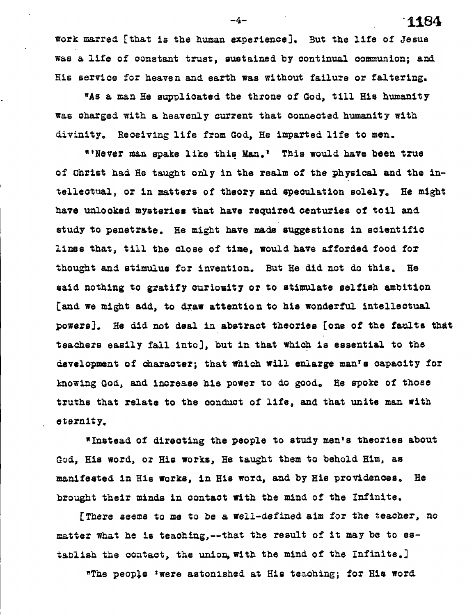**work marred. [that is the human experience]. But the life of Jesus was a life of constant trust, sustained by continual communion;** *and.*  **His service** *for* **heaven and. earth was without failure or faltering.** 

**uAs a man He supplicated the throne of God., till His humanity was charged, with a heavenly current that connected. humanity with divinity. Receiving life from God, He imparted life to men.** 

**"'Never man spoke like this Man.' This would have been true of Christ had He taught only in the realm of the physical and the intellectual, or in matters of theory and speculation solely, He might have unlocked mysteries that have required centuries of toil and study to penetrate. He might have made suggestions in scientific lines that, till the close of time, would have afforded food. for thought and. stimulus for invention. But He did not do this. He said nothing to gratify curiosity or to stimulate selfish ambition [and we might add, to draw attention to his wonderful intellectual powers]. He did. not deal in abstract theories [one of the faults that teachers easily fall into], but in that which is essential to the development of character; that which will enlarge man's capacity for knowing God., and. increase his power to do good, He spoke of those truths that relate to the conduct of life, and that unite man with eternity.** 

**wInstead of directing the people to study men's theories about God, His word, or His works, He taught them to behold. Him, as manifested in His works, in His word, and by His proridences. He brought their minds** *in* **contact with the mind of the Infinite.** 

**[There seems to me to** *be* **a well-defined aim for the teacher, no matter what he is teaching,--that the result of it may be to establish the contact, the union, with the mind of the Infinite.]** 

**"The people 'were astonished at His teaching; for His word.** 

**-4- 1.184**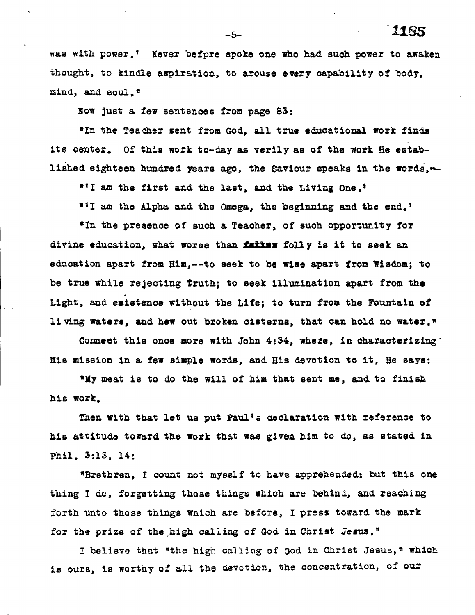**vas with power.' Never befpre spoke one who had such power to awaken thought, to kindle aspiration, to arouse every capability of body, mind, and soul."** 

**Now just a few sentences from page 83:** 

**"In the Teacher sent from God, all true educational work finds its center. Of this work to-day as verily as of the work He estab**lished eighteen hundred years ago, the Saviour speaks in the words, --

**"I am the first and the last, and the Living One.'** 

**III am the Alpha and the Omega, the beginning and the end.'** 

**"In the presence of such a Teacher, of such opportunity for**  divine education, what worse than **failss** folly is it to seek an **education apart from Him,--to seek to be wise apart from Wisdom; to be true while rejecting Truth; to seek illumination apart from the Light, and existence without the Life; to turn from the Fountain of living waters, and hew out broken cisterns, that can hold no water."** 

Connect this once more with John 4:34, where, in characterizing **his mission in a few simple words, and His devotion to it, He says:** 

**"My meat is to do the will of him that sent me, and to finish his work.** 

**Then with that let us put Paul's declaration with reference to his attitude toward the work that was given him to do, as stated in Phil. 3:13, 14:** 

**"Brethren, I count not myself to have apprehended: but this one thing I do, forgetting those things which are behind, and reaching forth unto those things which are before, I press toward the mark for the prize of the ,high calling of God in Christ Jesus."** 

I **believe that "the high calling of God in Christ Jesus," which is ours, is worthy of all the devotion, the concentration, of our** 

**-5- '11E35**